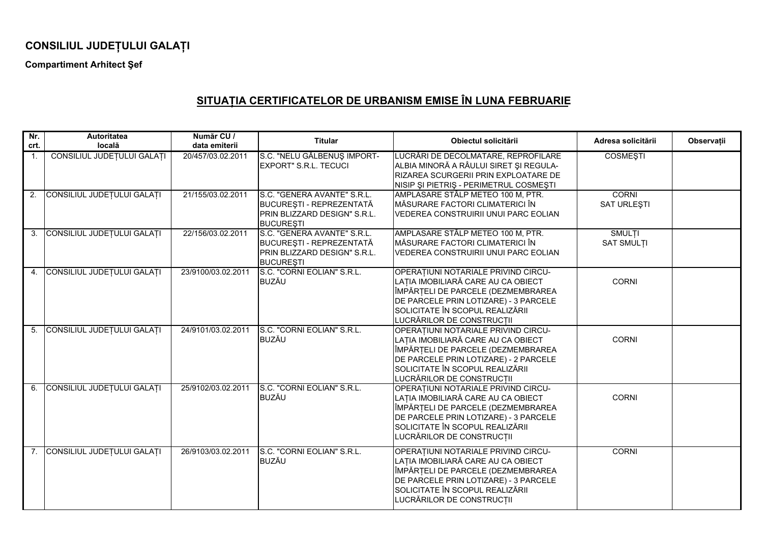## **CONSILIUL JUDE ULUI GALA <sup>I</sup>**

**Compartiment Arhitect Şef** 

## **SITUA IA CERTIFICATELOR DE URBANISM EMISE ÎN LUNA FEBRUARIE**

| Nr.<br>crt.    | <b>Autoritatea</b><br>locală  | Număr CU /<br>data emiterii | <b>Titular</b>                                                                                              | Obiectul solicitării                                                                                                                                                                                                     | Adresa solicitării                 | Observații |
|----------------|-------------------------------|-----------------------------|-------------------------------------------------------------------------------------------------------------|--------------------------------------------------------------------------------------------------------------------------------------------------------------------------------------------------------------------------|------------------------------------|------------|
| 1.             | CONSILIUL JUDEȚULUI GALAȚI    | 20/457/03.02.2011           | S.C. "NELU GĂLBENUȘ IMPORT-<br><b>EXPORT" S.R.L. TECUCI</b>                                                 | LUCRĂRI DE DECOLMATARE, REPROFILARE<br>ALBIA MINORĂ A RÂULUI SIRET ȘI REGULA-<br>RIZAREA SCURGERII PRIN EXPLOATARE DE<br>NISIP ȘI PIETRIȘ - PERIMETRUL COSMEȘTI                                                          | <b>COSMEȘTI</b>                    |            |
| 2.             | CONSILIUL JUDEȚULUI GALAȚI    | 21/155/03.02.2011           | S.C. "GENERA AVANTE" S.R.L.<br>BUCUREȘTI - REPREZENTATĂ<br>PRIN BLIZZARD DESIGN" S.R.L.<br><b>BUCUREȘTI</b> | AMPLASARE STÂLP METEO 100 M, PTR.<br>MĂSURARE FACTORI CLIMATERICI ÎN<br>VEDEREA CONSTRUIRII UNUI PARC EOLIAN                                                                                                             | <b>CORNI</b><br><b>SAT URLEŞTI</b> |            |
| 3 <sub>1</sub> | CONSILIUL JUDEȚULUI GALAȚI    | 22/156/03.02.2011           | S.C. "GENERA AVANTE" S.R.L.<br>BUCUREȘTI - REPREZENTATĂ<br>PRIN BLIZZARD DESIGN" S.R.L.<br><b>BUCURESTI</b> | AMPLASARE STÂLP METEO 100 M, PTR.<br>MĂSURARE FACTORI CLIMATERICI ÎN<br>VEDEREA CONSTRUIRII UNUI PARC EOLIAN                                                                                                             | <b>SMULTI</b><br><b>SAT SMULTI</b> |            |
|                | 4. CONSILIUL JUDEȚULUI GALAȚI | 23/9100/03.02.2011          | S.C. "CORNI EOLIAN" S.R.L.<br><b>BUZĂU</b>                                                                  | OPERATIUNI NOTARIALE PRIVIND CIRCU-<br>LAȚIA IMOBILIARĂ CARE AU CA OBIECT<br>ÎMPĂRȚELI DE PARCELE (DEZMEMBRAREA<br>DE PARCELE PRIN LOTIZARE) - 3 PARCELE<br>SOLICITATE ÎN SCOPUL REALIZĂRII<br>LUCRĂRILOR DE CONSTRUCȚII | <b>CORNI</b>                       |            |
| 5 <sub>1</sub> | CONSILIUL JUDEȚULUI GALAȚI    | 24/9101/03.02.2011          | S.C. "CORNI EOLIAN" S.R.L.<br><b>BUZĂU</b>                                                                  | OPERATIUNI NOTARIALE PRIVIND CIRCU-<br>LAȚIA IMOBILIARĂ CARE AU CA OBIECT<br>ÎMPĂRȚELI DE PARCELE (DEZMEMBRAREA<br>DE PARCELE PRIN LOTIZARE) - 2 PARCELE<br>SOLICITATE ÎN SCOPUL REALIZĂRII<br>LUCRĂRILOR DE CONSTRUCȚII | <b>CORNI</b>                       |            |
|                | 6. CONSILIUL JUDEȚULUI GALAȚI | 25/9102/03.02.2011          | S.C. "CORNI EOLIAN" S.R.L.<br><b>BUZĂU</b>                                                                  | OPERATIUNI NOTARIALE PRIVIND CIRCU-<br>LAȚIA IMOBILIARĂ CARE AU CA OBIECT<br>ÎMPĂRȚELI DE PARCELE (DEZMEMBRAREA<br>DE PARCELE PRIN LOTIZARE) - 3 PARCELE<br>SOLICITATE ÎN SCOPUL REALIZĂRII<br>LUCRĂRILOR DE CONSTRUCȚII | <b>CORNI</b>                       |            |
|                | 7. CONSILIUL JUDEȚULUI GALAȚI | 26/9103/03.02.2011          | S.C. "CORNI EOLIAN" S.R.L.<br><b>BUZĂU</b>                                                                  | OPERATIUNI NOTARIALE PRIVIND CIRCU-<br>LAȚIA IMOBILIARĂ CARE AU CA OBIECT<br>ÎMPĂRȚELI DE PARCELE (DEZMEMBRAREA<br>DE PARCELE PRIN LOTIZARE) - 3 PARCELE<br>SOLICITATE ÎN SCOPUL REALIZĂRII<br>LUCRĂRILOR DE CONSTRUCȚII | <b>CORNI</b>                       |            |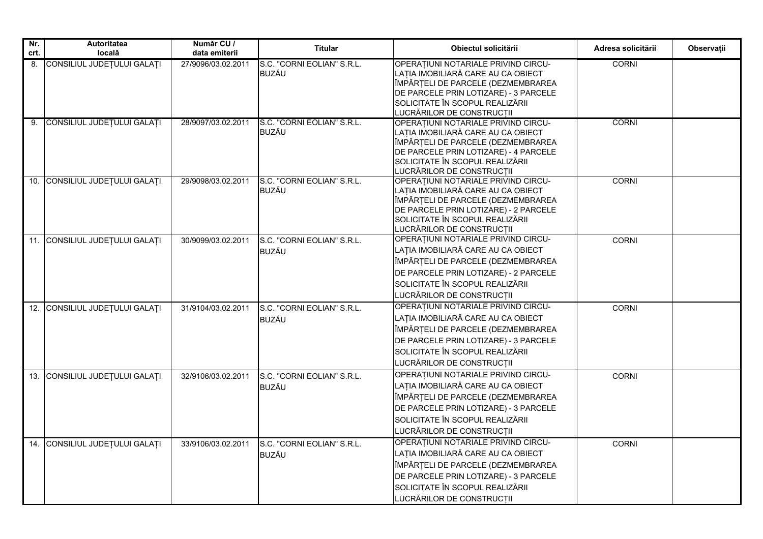| Nr.  | Autoritatea                    | Număr CU /         | <b>Titular</b>             | Obiectul solicitării                                                     | Adresa solicitării | Observații |
|------|--------------------------------|--------------------|----------------------------|--------------------------------------------------------------------------|--------------------|------------|
| crt. | locală                         | data emiterii      |                            |                                                                          |                    |            |
| 8.   | CONSILIUL JUDEȚULUI GALAȚI     | 27/9096/03.02.2011 | S.C. "CORNI EOLIAN" S.R.L. | OPERATIUNI NOTARIALE PRIVIND CIRCU-                                      | <b>CORNI</b>       |            |
|      |                                |                    | BUZĂU                      | LAȚIA IMOBILIARĂ CARE AU CA OBIECT<br>ÎMPĂRȚELI DE PARCELE (DEZMEMBRAREA |                    |            |
|      |                                |                    |                            | DE PARCELE PRIN LOTIZARE) - 3 PARCELE                                    |                    |            |
|      |                                |                    |                            | SOLICITATE ÎN SCOPUL REALIZĂRII                                          |                    |            |
|      |                                |                    |                            | LUCRĂRILOR DE CONSTRUCȚII                                                |                    |            |
|      | 9. CONSILIUL JUDEȚULUI GALAȚI  | 28/9097/03.02.2011 | S.C. "CORNI EOLIAN" S.R.L. | OPERATIUNI NOTARIALE PRIVIND CIRCU-                                      | <b>CORNI</b>       |            |
|      |                                |                    | <b>BUZĂU</b>               | LAȚIA IMOBILIARĂ CARE AU CA OBIECT                                       |                    |            |
|      |                                |                    |                            | ÎMPĂRȚELI DE PARCELE (DEZMEMBRAREA                                       |                    |            |
|      |                                |                    |                            | DE PARCELE PRIN LOTIZARE) - 4 PARCELE                                    |                    |            |
|      |                                |                    |                            | SOLICITATE ÎN SCOPUL REALIZĂRII                                          |                    |            |
|      | 10. CONSILIUL JUDEȚULUI GALAȚI | 29/9098/03.02.2011 | S.C. "CORNI EOLIAN" S.R.L. | LUCRĂRILOR DE CONSTRUCȚII<br>OPERATIUNI NOTARIALE PRIVIND CIRCU-         | <b>CORNI</b>       |            |
|      |                                |                    | BUZĂU                      | LAȚIA IMOBILIARĂ CARE AU CA OBIECT                                       |                    |            |
|      |                                |                    |                            | ÎMPĂRȚELI DE PARCELE (DEZMEMBRAREA                                       |                    |            |
|      |                                |                    |                            | DE PARCELE PRIN LOTIZARE) - 2 PARCELE                                    |                    |            |
|      |                                |                    |                            | SOLICITATE ÎN SCOPUL REALIZĂRII                                          |                    |            |
|      |                                |                    |                            | LUCRĂRILOR DE CONSTRUCȚII                                                |                    |            |
| 11.  | CONSILIUL JUDEȚULUI GALAȚI     | 30/9099/03.02.2011 | S.C. "CORNI EOLIAN" S.R.L. | OPERAȚIUNI NOTARIALE PRIVIND CIRCU-                                      | <b>CORNI</b>       |            |
|      |                                |                    | <b>BUZĂU</b>               | LAȚIA IMOBILIARĂ CARE AU CA OBIECT                                       |                    |            |
|      |                                |                    |                            | ÎMPĂRȚELI DE PARCELE (DEZMEMBRAREA                                       |                    |            |
|      |                                |                    |                            | DE PARCELE PRIN LOTIZARE) - 2 PARCELE                                    |                    |            |
|      |                                |                    |                            | SOLICITATE ÎN SCOPUL REALIZĂRII                                          |                    |            |
|      |                                |                    |                            | LUCRĂRILOR DE CONSTRUCȚII                                                |                    |            |
|      | 12. CONSILIUL JUDEȚULUI GALAȚI | 31/9104/03.02.2011 | S.C. "CORNI EOLIAN" S.R.L. | OPERAȚIUNI NOTARIALE PRIVIND CIRCU-                                      | <b>CORNI</b>       |            |
|      |                                |                    | <b>BUZĂU</b>               | LAȚIA IMOBILIARĂ CARE AU CA OBIECT                                       |                    |            |
|      |                                |                    |                            | ÎMPĂRȚELI DE PARCELE (DEZMEMBRAREA                                       |                    |            |
|      |                                |                    |                            | DE PARCELE PRIN LOTIZARE) - 3 PARCELE                                    |                    |            |
|      |                                |                    |                            | SOLICITATE ÎN SCOPUL REALIZĂRII                                          |                    |            |
|      |                                |                    |                            | LUCRĂRILOR DE CONSTRUCȚII                                                |                    |            |
|      | 13. CONSILIUL JUDEȚULUI GALAȚI | 32/9106/03.02.2011 | S.C. "CORNI EOLIAN" S.R.L. | OPERAȚIUNI NOTARIALE PRIVIND CIRCU-                                      | CORNI              |            |
|      |                                |                    | <b>BUZĂU</b>               | LAȚIA IMOBILIARĂ CARE AU CA OBIECT                                       |                    |            |
|      |                                |                    |                            | ÎMPĂRȚELI DE PARCELE (DEZMEMBRAREA                                       |                    |            |
|      |                                |                    |                            | DE PARCELE PRIN LOTIZARE) - 3 PARCELE                                    |                    |            |
|      |                                |                    |                            | SOLICITATE ÎN SCOPUL REALIZĂRII                                          |                    |            |
|      |                                |                    |                            | LUCRĂRILOR DE CONSTRUCȚII                                                |                    |            |
|      | 14. CONSILIUL JUDEȚULUI GALAȚI | 33/9106/03.02.2011 | S.C. "CORNI EOLIAN" S.R.L. | OPERATIUNI NOTARIALE PRIVIND CIRCU-                                      | CORNI              |            |
|      |                                |                    | <b>BUZĂU</b>               | LAȚIA IMOBILIARĂ CARE AU CA OBIECT                                       |                    |            |
|      |                                |                    |                            | ÎMPĂRȚELI DE PARCELE (DEZMEMBRAREA                                       |                    |            |
|      |                                |                    |                            | DE PARCELE PRIN LOTIZARE) - 3 PARCELE                                    |                    |            |
|      |                                |                    |                            | SOLICITATE ÎN SCOPUL REALIZĂRII                                          |                    |            |
|      |                                |                    |                            | LUCRĂRILOR DE CONSTRUCȚII                                                |                    |            |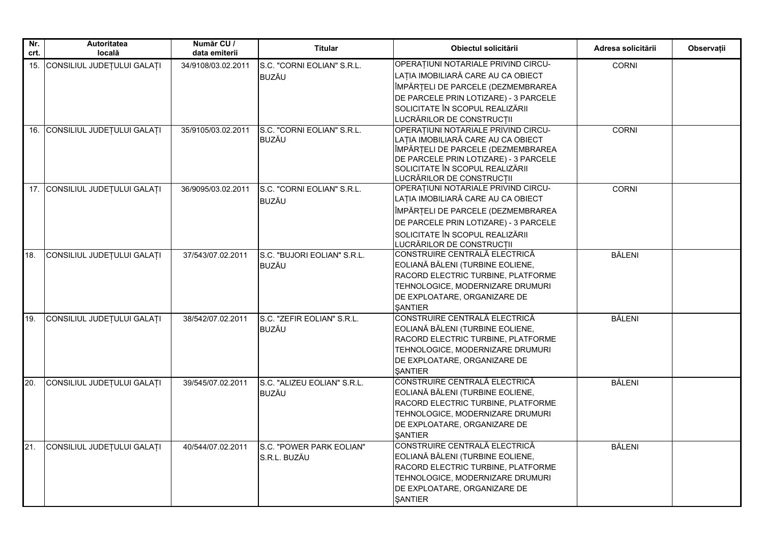| Nr.<br>crt. | <b>Autoritatea</b><br>locală   | Număr CU /<br>data emiterii | <b>Titular</b>                              | Obiectul solicitării                                                                                                                                                                                                     | Adresa solicitării | <b>Observatii</b> |
|-------------|--------------------------------|-----------------------------|---------------------------------------------|--------------------------------------------------------------------------------------------------------------------------------------------------------------------------------------------------------------------------|--------------------|-------------------|
| 15.         | CONSILIUL JUDEȚULUI GALAȚI     | 34/9108/03.02.2011          | S.C. "CORNI EOLIAN" S.R.L.<br><b>BUZĂU</b>  | OPERATIUNI NOTARIALE PRIVIND CIRCU-<br>LAȚIA IMOBILIARĂ CARE AU CA OBIECT<br>ÎMPĂRȚELI DE PARCELE (DEZMEMBRAREA<br>DE PARCELE PRIN LOTIZARE) - 3 PARCELE<br>SOLICITATE ÎN SCOPUL REALIZĂRII<br>LUCRĂRILOR DE CONSTRUCȚII | <b>CORNI</b>       |                   |
|             | 16. CONSILIUL JUDEȚULUI GALAȚI | 35/9105/03.02.2011          | S.C. "CORNI EOLIAN" S.R.L.<br><b>BUZĂU</b>  | OPERATIUNI NOTARIALE PRIVIND CIRCU-<br>LAȚIA IMOBILIARĂ CARE AU CA OBIECT<br>ÎMPĂRȚELI DE PARCELE (DEZMEMBRAREA<br>DE PARCELE PRIN LOTIZARE) - 3 PARCELE<br>SOLICITATE ÎN SCOPUL REALIZĂRII<br>LUCRĂRILOR DE CONSTRUCȚII | <b>CORNI</b>       |                   |
|             | 17. CONSILIUL JUDEȚULUI GALAȚI | 36/9095/03.02.2011          | S.C. "CORNI EOLIAN" S.R.L.<br><b>BUZĂU</b>  | OPERAȚIUNI NOTARIALE PRIVIND CIRCU-<br>LAȚIA IMOBILIARĂ CARE AU CA OBIECT<br>ÎMPĂRȚELI DE PARCELE (DEZMEMBRAREA<br>DE PARCELE PRIN LOTIZARE) - 3 PARCELE<br>SOLICITATE ÎN SCOPUL REALIZĂRII<br>LUCRĂRILOR DE CONSTRUCȚII | <b>CORNI</b>       |                   |
| 18.         | CONSILIUL JUDEȚULUI GALAȚI     | 37/543/07.02.2011           | S.C. "BUJORI EOLIAN" S.R.L.<br><b>BUZĂU</b> | CONSTRUIRE CENTRALĂ ELECTRICĂ<br>EOLIANĂ BĂLENI (TURBINE EOLIENE,<br>RACORD ELECTRIC TURBINE, PLATFORME<br>TEHNOLOGICE, MODERNIZARE DRUMURI<br>DE EXPLOATARE, ORGANIZARE DE<br>SANTIER                                   | <b>BĂLENI</b>      |                   |
| 19.         | CONSILIUL JUDEȚULUI GALAȚI     | 38/542/07.02.2011           | S.C. "ZEFIR EOLIAN" S.R.L.<br><b>BUZĂU</b>  | CONSTRUIRE CENTRALĂ ELECTRICĂ<br>EOLIANĂ BĂLENI (TURBINE EOLIENE,<br>RACORD ELECTRIC TURBINE, PLATFORME<br>TEHNOLOGICE, MODERNIZARE DRUMURI<br>DE EXPLOATARE, ORGANIZARE DE<br><b>SANTIER</b>                            | <b>BĂLENI</b>      |                   |
| 20.         | CONSILIUL JUDEȚULUI GALAȚI     | 39/545/07.02.2011           | S.C. "ALIZEU EOLIAN" S.R.L.<br><b>BUZĂU</b> | CONSTRUIRE CENTRALĂ ELECTRICĂ<br>EOLIANĂ BĂLENI (TURBINE EOLIENE,<br>RACORD ELECTRIC TURBINE, PLATFORME<br>TEHNOLOGICE, MODERNIZARE DRUMURI<br>DE EXPLOATARE, ORGANIZARE DE<br><b>SANTIER</b>                            | BĂLENI             |                   |
| 21.         | CONSILIUL JUDEȚULUI GALAȚI     | 40/544/07.02.2011           | S.C. "POWER PARK EOLIAN"<br>S.R.L. BUZĂU    | CONSTRUIRE CENTRALĂ ELECTRICĂ<br>EOLIANĂ BĂLENI (TURBINE EOLIENE,<br>RACORD ELECTRIC TURBINE, PLATFORME<br>TEHNOLOGICE, MODERNIZARE DRUMURI<br>DE EXPLOATARE, ORGANIZARE DE<br><b>ŞANTIER</b>                            | <b>BĂLENI</b>      |                   |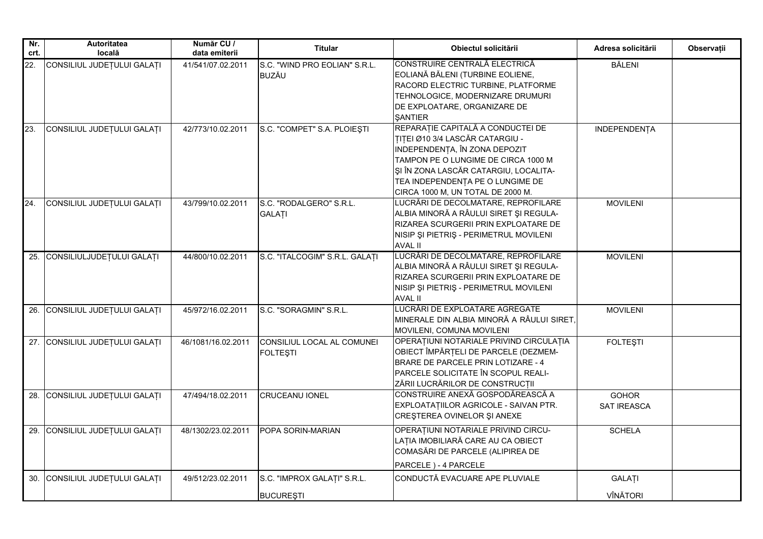| Nr.<br>crt. | Autoritatea<br>locală          | Număr CU /<br>data emiterii | <b>Titular</b>                                  | Obiectul solicitării                                                                                                                                                                                                                                           | Adresa solicitării          | Observații |
|-------------|--------------------------------|-----------------------------|-------------------------------------------------|----------------------------------------------------------------------------------------------------------------------------------------------------------------------------------------------------------------------------------------------------------------|-----------------------------|------------|
| 22.         | CONSILIUL JUDEȚULUI GALAȚI     | 41/541/07.02.2011           | S.C. "WIND PRO EOLIAN" S.R.L.<br><b>BUZĂU</b>   | CONSTRUIRE CENTRALĂ ELECTRICĂ<br>EOLIANĂ BĂLENI (TURBINE EOLIENE,<br>RACORD ELECTRIC TURBINE, PLATFORME<br>TEHNOLOGICE, MODERNIZARE DRUMURI<br>DE EXPLOATARE, ORGANIZARE DE<br><b>SANTIER</b>                                                                  | <b>BĂLENI</b>               |            |
| 23.         | CONSILIUL JUDEȚULUI GALAȚI     | 42/773/10.02.2011           | S.C. "COMPET" S.A. PLOIESTI                     | REPARAȚIE CAPITALĂ A CONDUCTEI DE<br>TITEI Ø10 3/4 LASCĂR CATARGIU -<br>INDEPENDENȚA, ÎN ZONA DEPOZIT<br>TAMPON PE O LUNGIME DE CIRCA 1000 M<br>ȘI ÎN ZONA LASCĂR CATARGIU, LOCALITA-<br>TEA INDEPENDENȚA PE O LUNGIME DE<br>CIRCA 1000 M, UN TOTAL DE 2000 M. | <b>INDEPENDENȚA</b>         |            |
| 24.         | CONSILIUL JUDEȚULUI GALAȚI     | 43/799/10.02.2011           | S.C. "RODALGERO" S.R.L.<br><b>GALATI</b>        | LUCRĂRI DE DECOLMATARE, REPROFILARE<br>ALBIA MINORĂ A RÂULUI SIRET ȘI REGULA-<br>RIZAREA SCURGERII PRIN EXPLOATARE DE<br>NISIP ȘI PIETRIȘ - PERIMETRUL MOVILENI<br><b>AVAL II</b>                                                                              | <b>MOVILENI</b>             |            |
| 25.         | CONSILIULJUDEȚULUI GALAȚI      | 44/800/10.02.2011           | S.C. "ITALCOGIM" S.R.L. GALATI                  | LUCRĂRI DE DECOLMATARE, REPROFILARE<br>ALBIA MINORĂ A RÂULUI SIRET ȘI REGULA-<br>RIZAREA SCURGERII PRIN EXPLOATARE DE<br>NISIP ȘI PIETRIȘ - PERIMETRUL MOVILENI<br>AVAL II                                                                                     | <b>MOVILENI</b>             |            |
| 26.         | CONSILIUL JUDEȚULUI GALAȚI     | 45/972/16.02.2011           | S.C. "SORAGMIN" S.R.L.                          | LUCRĂRI DE EXPLOATARE AGREGATE<br>MINERALE DIN ALBIA MINORĂ A RÂULUI SIRET,<br>MOVILENI, COMUNA MOVILENI                                                                                                                                                       | <b>MOVILENI</b>             |            |
| 27.         | CONSILIUL JUDEȚULUI GALAȚI     | 46/1081/16.02.2011          | CONSILIUL LOCAL AL COMUNEI<br><b>FOLTEŞTI</b>   | OPERATIUNI NOTARIALE PRIVIND CIRCULATIA<br>OBIECT ÎMPĂRȚELI DE PARCELE (DEZMEM-<br>BRARE DE PARCELE PRIN LOTIZARE - 4<br>PARCELE SOLICITATE ÎN SCOPUL REALI-<br>ZĂRII LUCRĂRILOR DE CONSTRUCȚII                                                                | <b>FOLTESTI</b>             |            |
|             | 28. CONSILIUL JUDEȚULUI GALAȚI | 47/494/18.02.2011           | <b>CRUCEANU IONEL</b>                           | CONSTRUIRE ANEXĂ GOSPODĂREASCĂ A<br>EXPLOATATIILOR AGRICOLE - SAIVAN PTR.<br>CREȘTEREA OVINELOR ȘI ANEXE                                                                                                                                                       | <b>GOHOR</b><br>SAT IREASCA |            |
| 29.         | CONSILIUL JUDEȚULUI GALAȚI     | 48/1302/23.02.2011          | POPA SORIN-MARIAN                               | OPERATIUNI NOTARIALE PRIVIND CIRCU-<br>LAȚIA IMOBILIARĂ CARE AU CA OBIECT<br>COMASĂRI DE PARCELE (ALIPIREA DE<br>PARCELE) - 4 PARCELE                                                                                                                          | <b>SCHELA</b>               |            |
| 30.         | CONSILIUL JUDEȚULUI GALAȚI     | 49/512/23.02.2011           | S.C. "IMPROX GALAȚI" S.R.L.<br><b>BUCURESTI</b> | CONDUCTĂ EVACUARE APE PLUVIALE                                                                                                                                                                                                                                 | <b>GALATI</b><br>VÎNĂTORI   |            |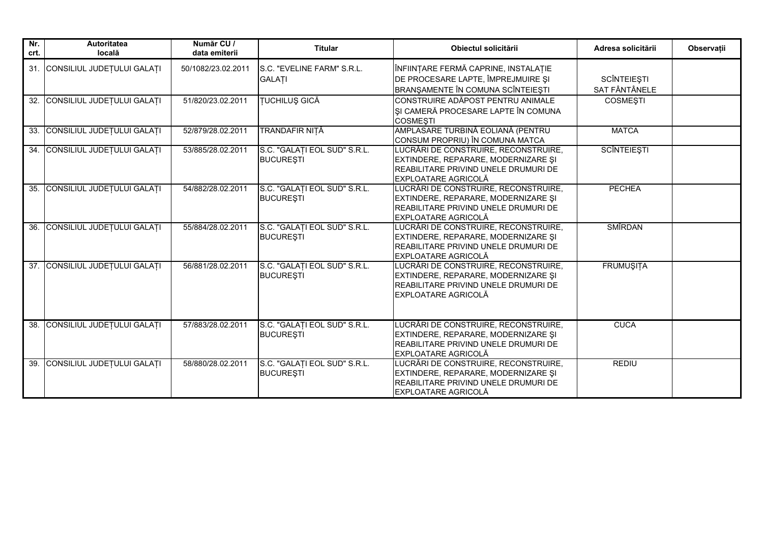| Nr.<br>crt. | Autoritatea<br>locală          | Număr CU /<br>data emiterii | <b>Titular</b>                                   | Obiectul solicitării                                                                                                                              | Adresa solicitării                  | Observații |
|-------------|--------------------------------|-----------------------------|--------------------------------------------------|---------------------------------------------------------------------------------------------------------------------------------------------------|-------------------------------------|------------|
|             | 31. CONSILIUL JUDEȚULUI GALAȚI | 50/1082/23.02.2011          | S.C. "EVELINE FARM" S.R.L.<br><b>GALATI</b>      | ÎNFIINȚARE FERMĂ CAPRINE, INSTALAȚIE<br>DE PROCESARE LAPTE, ÎMPREJMUIRE ȘI<br>BRANŞAMENTE ÎN COMUNA SCÎNTEIEȘTI                                   | <b>SCÎNTEIEȘTI</b><br>SAT FÂNTÂNELE |            |
| 32.         | CONSILIUL JUDEȚULUI GALAȚI     | 51/820/23.02.2011           | <b>TUCHILUŞ GICĂ</b>                             | CONSTRUIRE ADĂPOST PENTRU ANIMALE<br>ȘI CAMERĂ PROCESARE LAPTE ÎN COMUNA<br><b>COSMEȘTI</b>                                                       | <b>COSMESTI</b>                     |            |
|             | 33. CONSILIUL JUDEȚULUI GALAȚI | 52/879/28.02.2011           | TRANDAFIR NIȚĂ                                   | AMPLASARE TURBINĂ EOLIANĂ (PENTRU<br>CONSUM PROPRIU) ÎN COMUNA MATCA                                                                              | <b>MATCA</b>                        |            |
|             | 34. CONSILIUL JUDEȚULUI GALAȚI | 53/885/28.02.2011           | S.C. "GALATI EOL SUD" S.R.L.<br><b>BUCURESTI</b> | LUCRĂRI DE CONSTRUIRE, RECONSTRUIRE,<br>EXTINDERE, REPARARE, MODERNIZARE ȘI<br>REABILITARE PRIVIND UNELE DRUMURI DE<br><b>EXPLOATARE AGRICOLĂ</b> | <b>SCÎNTEIEȘTI</b>                  |            |
|             | 35. CONSILIUL JUDEȚULUI GALAȚI | 54/882/28.02.2011           | S.C. "GALATI EOL SUD" S.R.L.<br><b>BUCURESTI</b> | LUCRĂRI DE CONSTRUIRE, RECONSTRUIRE,<br>EXTINDERE, REPARARE, MODERNIZARE ȘI<br>REABILITARE PRIVIND UNELE DRUMURI DE<br><b>EXPLOATARE AGRICOLĂ</b> | <b>PECHEA</b>                       |            |
| 36.         | CONSILIUL JUDEȚULUI GALAȚI     | 55/884/28.02.2011           | S.C. "GALATI EOL SUD" S.R.L.<br><b>BUCURESTI</b> | LUCRĂRI DE CONSTRUIRE, RECONSTRUIRE,<br>EXTINDERE, REPARARE, MODERNIZARE ȘI<br>REABILITARE PRIVIND UNELE DRUMURI DE<br>EXPLOATARE AGRICOLĂ        | <b>SMÎRDAN</b>                      |            |
|             | 37. CONSILIUL JUDEȚULUI GALAȚI | 56/881/28.02.2011           | S.C. "GALATI EOL SUD" S.R.L.<br><b>BUCURESTI</b> | LUCRĂRI DE CONSTRUIRE, RECONSTRUIRE,<br>EXTINDERE, REPARARE, MODERNIZARE ȘI<br>REABILITARE PRIVIND UNELE DRUMURI DE<br>EXPLOATARE AGRICOLĂ        | <b>FRUMUŞITA</b>                    |            |
|             | 38. CONSILIUL JUDEȚULUI GALAȚI | 57/883/28.02.2011           | S.C. "GALATI EOL SUD" S.R.L.<br><b>BUCURESTI</b> | LUCRĂRI DE CONSTRUIRE, RECONSTRUIRE,<br>EXTINDERE, REPARARE, MODERNIZARE SI<br>REABILITARE PRIVIND UNELE DRUMURI DE<br>EXPLOATARE AGRICOLĂ        | <b>CUCA</b>                         |            |
|             | 39. CONSILIUL JUDEȚULUI GALAȚI | 58/880/28.02.2011           | S.C. "GALATI EOL SUD" S.R.L.<br><b>BUCURESTI</b> | LUCRĂRI DE CONSTRUIRE, RECONSTRUIRE,<br>EXTINDERE, REPARARE, MODERNIZARE SI<br>REABILITARE PRIVIND UNELE DRUMURI DE<br><b>EXPLOATARE AGRICOLĂ</b> | <b>REDIU</b>                        |            |